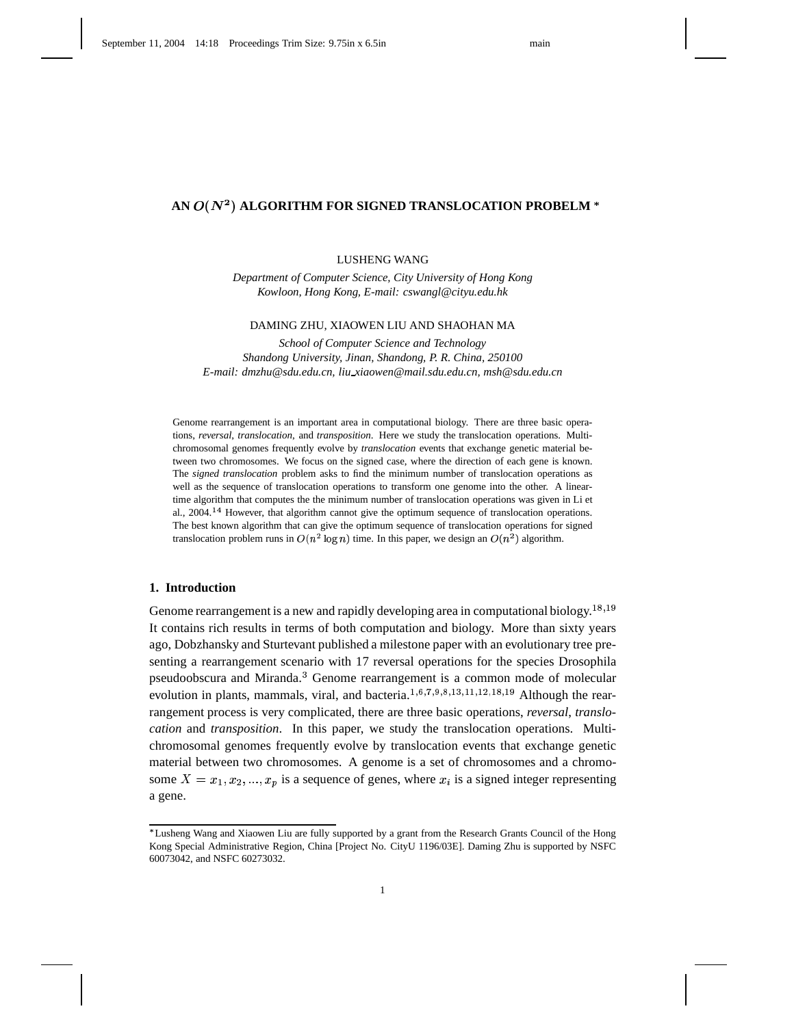# AN  $O(N^2)$  ALGORITHM FOR SIGNED TRANSLOCATION PROBELM  $^\ast$

#### LUSHENG WANG

*Department of Computer Science, City University of Hong Kong Kowloon, Hong Kong, E-mail: cswangl@cityu.edu.hk*

#### DAMING ZHU, XIAOWEN LIU AND SHAOHAN MA

*School of Computer Science and Technology Shandong University, Jinan, Shandong, P. R. China, 250100 E-mail: dmzhu@sdu.edu.cn, liu xiaowen@mail.sdu.edu.cn, msh@sdu.edu.cn*

Genome rearrangement is an important area in computational biology. There are three basic operations, *reversal*, *translocation*, and *transposition*. Here we study the translocation operations. Multichromosomal genomes frequently evolve by *translocation* events that exchange genetic material between two chromosomes. We focus on the signed case, where the direction of each gene is known. The *signed translocation* problem asks to find the minimum number of translocation operations as well as the sequence of translocation operations to transform one genome into the other. A lineartime algorithm that computes the the minimum number of translocation operations was given in Li et al., 2004.<sup>14</sup> However, that algorithm cannot give the optimum sequence of translocation operations. The best known algorithm that can give the optimum sequence of translocation operations for signed translocation problem runs in  $O(n^2 \log n)$  time. In this paper, we design an  $O(n^2)$  algorithm.

### **1. Introduction**

Genome rearrangement is a new and rapidly developing area in computational biology.<sup>18,19</sup> It contains rich results in terms of both computation and biology. More than sixty years ago, Dobzhansky and Sturtevant published a milestone paper with an evolutionary tree presenting a rearrangement scenario with 17 reversal operations for the species Drosophila pseudoobscura and Miranda.<sup>3</sup> Genome rearrangement is a common mode of molecular evolution in plants, mammals, viral, and bacteria.  $1, 6, 7, 9, 8, 13, 11, 12, 18, 19$  Although the rearrangement process is very complicated, there are three basic operations, *reversal*, *translocation* and *transposition*. In this paper, we study the translocation operations. Multichromosomal genomes frequently evolve by translocation events that exchange genetic material between two chromosomes. A genome is a set of chromosomes and a chromosome  $X = x_1, x_2, ..., x_p$  is a sequence of genes, where  $x_i$  is a signed integer representing a gene.

Lusheng Wang and Xiaowen Liu are fully supported by a grant from the Research Grants Council of the Hong Kong Special Administrative Region, China [Project No. CityU 1196/03E]. Daming Zhu is supported by NSFC 60073042, and NSFC 60273032.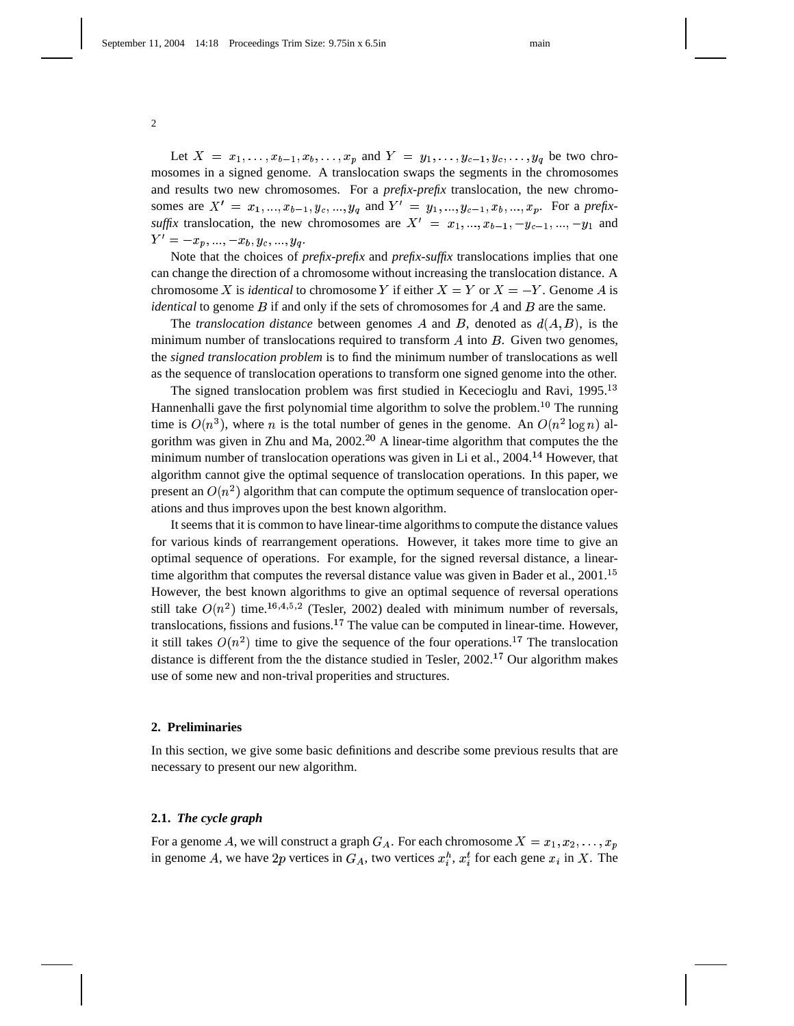Let  $X = x_1, ..., x_{b-1}, x_b, ..., x_p$  and  $Y = y_1, ..., y_{c-1}, y_c, ..., y_q$  be two chromosomes in a signed genome. A translocation swaps the segments in the chromosomes and results two new chromosomes. For a *prefix-prefix* translocation, the new chromosomes are  $X' = x_1, ..., x_{b-1}, y_c, ..., y_q$  and  $Y' = y_1, ..., y_{c-1}, x_b, ..., x_p$ . For a *prefixsuffix* translocation, the new chromosomes are  $X' = x_1, ..., x_{b-1}, -y_{c-1}, ..., -y_1$  and  $Y'=-x_p,...,-x_b,y_c,...,y_q.$ 

 Note that the choices of *prefix-prefix* and *prefix-suffix* translocations implies that one can change the direction of a chromosome without increasing the translocation distance. A chromosome X is *identical* to chromosome Y if either  $X = Y$  or  $X = -Y$ . Genome A is *identical* to genome  $B$  if and only if the sets of chromosomes for  $A$  and  $B$  are the same.

The *translocation distance* between genomes  $A$  and  $B$ , denoted as  $d(A, B)$ , is the minimum number of translocations required to transform  $\vec{A}$  into  $\vec{B}$ . Given two genomes, the *signed translocation problem* is to find the minimum number of translocations as well as the sequence of translocation operations to transform one signed genome into the other.

The signed translocation problem was first studied in Kececioglu and Ravi, 1995.<sup>13</sup> Hannenhalli gave the first polynomial time algorithm to solve the problem.<sup>10</sup> The running time is  $O(n^3)$ , where *n* is the total number of genes in the genome. An  $O(n^2 \log n)$  algorithm was given in Zhu and Ma,  $2002<sup>20</sup>$  A linear-time algorithm that computes the the minimum number of translocation operations was given in Li et al.,  $2004$ <sup>14</sup> However, that algorithm cannot give the optimal sequence of translocation operations. In this paper, we present an  $O(n^2)$  algorithm that can compute the optimum sequence of translocation operations and thus improves upon the best known algorithm.

It seems that it is common to have linear-time algorithms to compute the distance values for various kinds of rearrangement operations. However, it takes more time to give an optimal sequence of operations. For example, for the signed reversal distance, a lineartime algorithm that computes the reversal distance value was given in Bader et al.,  $2001$ .<sup>15</sup> However, the best known algorithms to give an optimal sequence of reversal operations still take  $O(n^2)$  time.<sup>16,4,5,2</sup> (Tesler, 2002) dealed with minimum number of reversals, translocations, fissions and fusions.<sup>17</sup> The value can be computed in linear-time. However, it still takes  $O(n^2)$  time to give the sequence of the four operations.<sup>17</sup> The translocation distance is different from the the distance studied in Tesler,  $2002<sup>17</sup>$  Our algorithm makes use of some new and non-trival properities and structures.

# **2. Preliminaries**

In this section, we give some basic definitions and describe some previous results that are necessary to present our new algorithm.

## **2.1.** *The cycle graph*

For a genome  $A$ , we will construct a graph  $G_A$ . For each chromosome  $X = x_1, x_2, \ldots, x_p$ in genome A, we have 2p vertices in  $G_A$ , two vertices  $x_i^h$ ,  $x_i^t$  for each gene  $x_i$  in X. The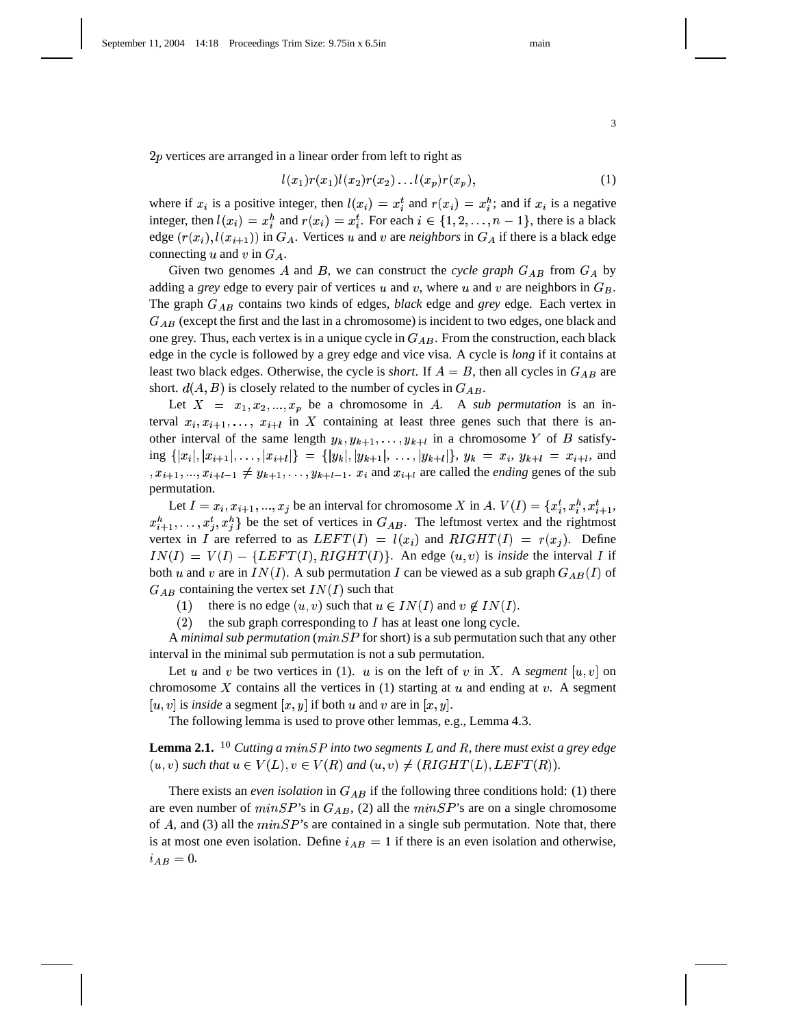$2p$  vertices are arranged in a linear order from left to right as

$$
l(x_1)r(x_1)l(x_2)r(x_2)...l(x_p)r(x_p), \qquad (1)
$$

where if  $x_i$  is a positive integer, then  $l(x_i) = x_i^t$  and  $r(x_i) = x_i^h$ ; and if  $x_i$  is a negative integer, then  $l(x_i) = x_i^h$  and  $r(x_i) = x_i^t$ . For each  $i \in \{1, 2, ..., n-1\}$ , there is a black edge  $(r(x_i), l(x_{i+1}))$  in  $G_A$ . Vertices u and v are *neighbors* in  $G_A$  if there is a black edge connecting u and v in  $G_A$ .

Given two genomes A and B, we can construct the *cycle graph*  $G_{AB}$  from  $G_A$  by adding a *grey* edge to every pair of vertices u and v, where u and v are neighbors in  $G_B$ . . The graph  $G_{AB}$  contains two kinds of edges, *black* edge and *grey* edge. Each vertex in  $G_{AB}$  (except the first and the last in a chromosome) is incident to two edges, one black and one grey. Thus, each vertex is in a unique cycle in  $G_{AB}$ . From the construction, each black edge in the cycle is followed by a grey edge and vice visa. A cycle is *long* if it contains at least two black edges. Otherwise, the cycle is *short*. If  $A = B$ , then all cycles in  $G_{AB}$  are short.  $d(A, B)$  is closely related to the number of cycles in  $G_{AB}$ . .

Let  $X = x_1, x_2, ..., x_p$  be a chromosome in A. A *sub permutation* is an interval  $x_i, x_{i+1}, \ldots, x_{i+l}$  in X containing at least three genes such that there is another interval of the same length  $y_k, y_{k+1}, \ldots, y_{k+l}$  in a chromosome Y of B satisfy- $\inf\limits_{\{x_i\},\{x_{i+1}\},\ldots,\{x_{i+l}\}} = \{ |y_k|,|y_{k+1}|,\ldots,|y_{k+l}| \}$ ,  $y_k = x_i$ ,  $y_{k+l} = x_{i+l}$ , and  $x_{i+1},...,x_{i+l-1} \neq y_{k+1},...,y_{k+l-1}.$   $x_i$  and  $x_{i+l}$  are called the *ending* genes of the sub permutation.

Let  $I = x_i, x_{i+1}, ..., x_j$  be an interval for chromosome X in A.  $V(I) = \{x_i^t, x_i^h, x_{i+1}^t,$  $x_{i+1}^h, \ldots, x_j^t, x_j^h$  be the set of vertices in  $G_{AB}$ . The leftmost vertex and the rightmost vertex in I are referred to as  $LEFT(I) = l(x_i)$  and  $RIGHT(I) = r(x_i)$ . Define  $IN(I) = V(I) - \{LEFT(I), RIGHT(I)\}.$  An edge  $(u, v)$  is *inside* the interval I if both u and v are in  $IN(I)$ . A sub permutation I can be viewed as a sub graph  $G_{AB}(I)$  of  $G_{AB}$  containing the vertex set  $IN(I)$  such that

(1) there is no edge  $(u, v)$  such that  $u \in IN(I)$  and  $v \notin IN(I)$ .

(2) the sub graph corresponding to  $I$  has at least one long cycle.

A *minimal sub permutation* ( $minSP$  for short) is a sub permutation such that any other interval in the minimal sub permutation is not a sub permutation.

Let  $u$  and  $v$  be two vertices in (1).  $u$  is on the left of  $v$  in  $X$ . A *segment*  $[u, v]$  on chromosome X contains all the vertices in (1) starting at  $u$  and ending at  $v$ . A segment  $[u, v]$  is *inside* a segment  $[x, y]$  if both  $u$  and  $v$  are in  $[x, y]$ .

The following lemma is used to prove other lemmas, e.g., Lemma 4.3.

 ${\bf Lemma}$   ${\bf 2.1.}$   $^{\bf 10}$  Cutting a  $min SP$  into two segments  $L$  and  $R$ , there must exist a grey edge  $(u, v)$  such that  $u \in V(L)$ ,  $v \in V(R)$  and  $(u, v) \neq (RIGHT(L), LEFT(R))$ .

There exists an *even isolation* in  $G_{AB}$  if the following three conditions hold: (1) there are even number of  $minSP$ 's in  $G_{AB}$ , (2) all the  $minSP$ 's are on a single chromosome of A, and (3) all the  $minSP$ 's are contained in a single sub permutation. Note that, there is at most one even isolation. Define  $i_{AB} = 1$  if there is an even isolation and otherwise,  $i_{AB}=0.$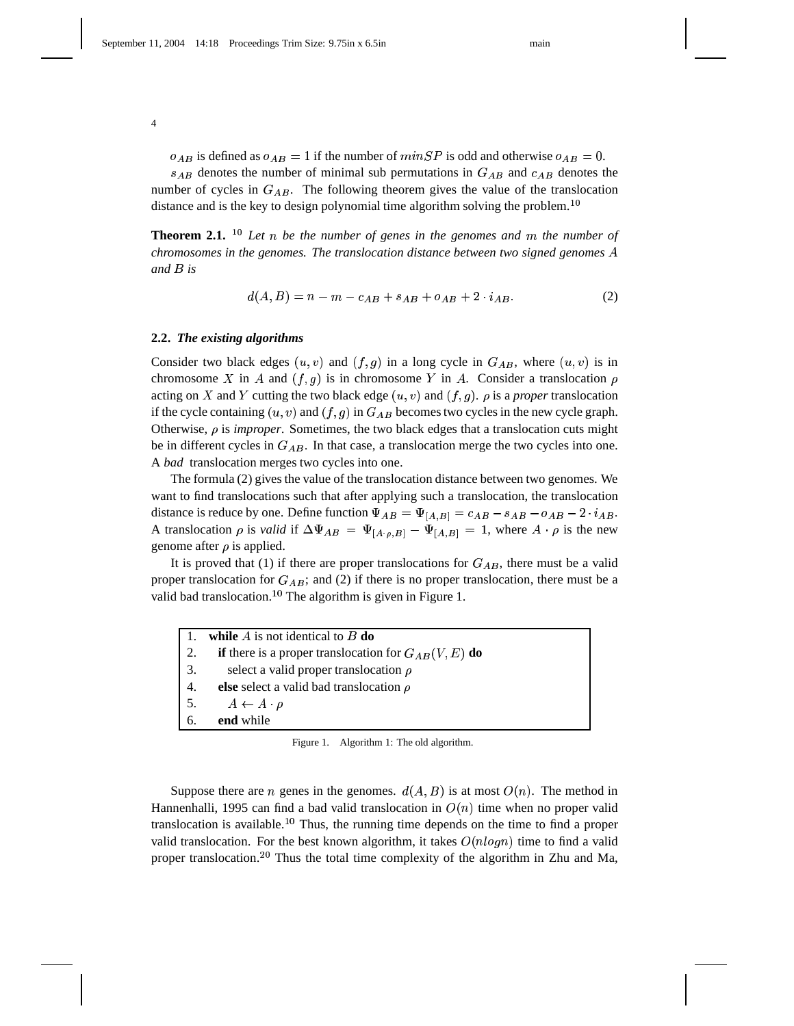$o_{AB}$  is defined as  $o_{AB} = 1$  if the number of  $minSP$  is odd and otherwise  $o_{AB} = 0$ .  $s_{AB}$  denotes the number of minimal sub permutations in  $G_{AB}$  and  $c_{AB}$  denotes the number of cycles in  $G_{AB}$ . The following theorem gives the value of the translocation distance and is the key to design polynomial time algorithm solving the problem.<sup>10</sup>

**Theorem 2.1.** <sup>10</sup> Let n be the number of genes in the genomes and m the number of *chromosomes in the genomes. The translocation distance between two signed genomes* and *B* is

$$
d(A, B) = n - m - c_{AB} + s_{AB} + o_{AB} + 2 \cdot i_{AB}.
$$
 (2)

#### **2.2.** *The existing algorithms*

Consider two black edges  $(u, v)$  and  $(f, g)$  in a long cycle in  $G_{AB}$ , where  $(u, v)$  is in chromosome X in A and  $(f, g)$  is in chromosome Y in A. Consider a translocation  $\rho$ acting on X and Y cutting the two black edge  $(u, v)$  and  $(f, g)$ .  $\rho$  is a *proper* translocation if the cycle containing  $(u, v)$  and  $(f, g)$  in  $G_{AB}$  becomes two cycles in the new cycle graph. Otherwise,  $\rho$  is *improper*. Sometimes, the two black edges that a translocation cuts might be in different cycles in  $G_{AB}$ . In that case, a translocation merge the two cycles into one. A *bad* translocation merges two cycles into one.

The formula (2) gives the value of the translocation distance between two genomes. We want to find translocations such that after applying such a translocation, the translocation distance is reduce by one. Define function  $\Psi_{AB} = \Psi_{[A,B]} = c_{AB} - s_{AB} - o_{AB} - 2 \cdot i_{AB}$ . A translocation  $\rho$  is *valid* if  $\Delta \Psi_{AB} = \Psi_{[A \cdot \rho,B]} - \Psi_{[A,B]} = 1$ , where  $A \cdot \rho$  is the new . genome after  $\rho$  is applied.

It is proved that (1) if there are proper translocations for  $G_{AB}$ , there must be a valid proper translocation for  $G_{AB}$ ; and (2) if there is no proper translocation, there must be a valid bad translocation.<sup>10</sup> The algorithm is given in Figure 1.

|    | while $A$ is not identical to $B$ do                                   |
|----|------------------------------------------------------------------------|
| 2. | <b>if</b> there is a proper translocation for $G_{AB}(V, E)$ <b>do</b> |
| 3. | select a valid proper translocation $\rho$                             |
| 4. | else select a valid bad translocation $\rho$                           |
| 5. | $A \leftarrow A \cdot \rho$                                            |
| 6. | end while                                                              |

Figure 1. Algorithm 1: The old algorithm.

Suppose there are *n* genes in the genomes.  $d(A, B)$  is at most  $O(n)$ . The method in Hannenhalli, 1995 can find a bad valid translocation in  $O(n)$  time when no proper valid translocation is available.<sup>10</sup> Thus, the running time depends on the time to find a proper valid translocation. For the best known algorithm, it takes  $O(n \log n)$  time to find a valid proper translocation.<sup>20</sup> Thus the total time complexity of the algorithm in Zhu and Ma,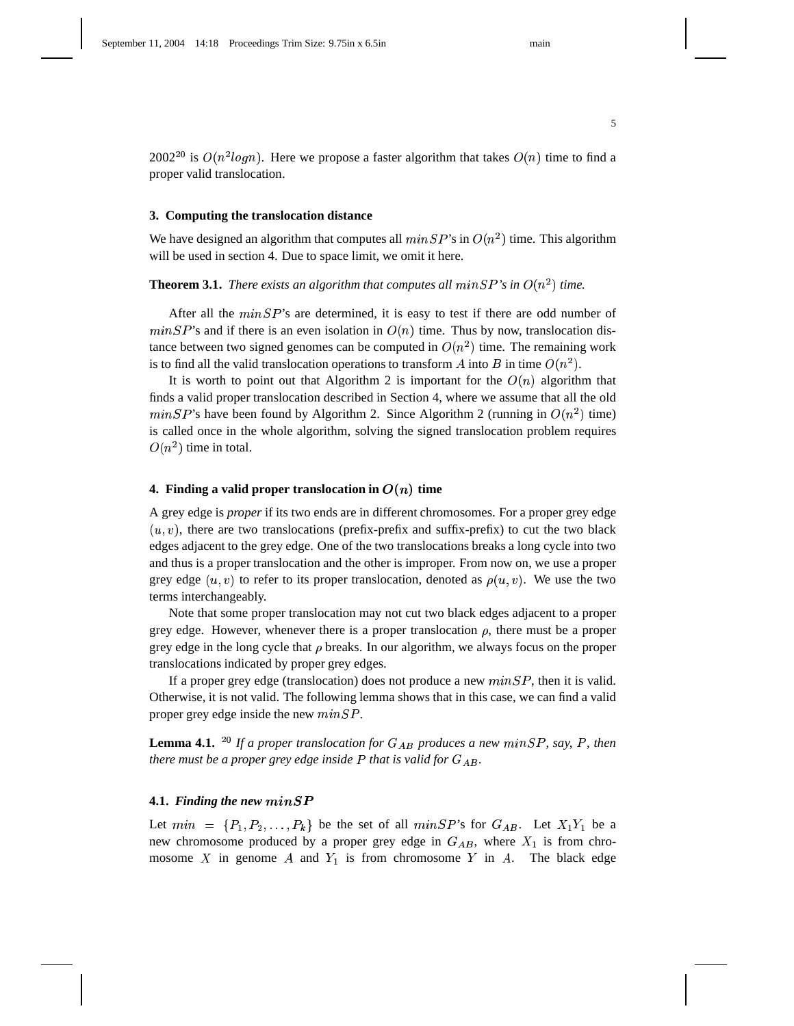$2002^{20}$  is  $O(n^2 log n)$ . Here we propose a faster algorithm that takes  $O(n)$  time to find a proper valid translocation.

### **3. Computing the translocation distance**

We have designed an algorithm that computes all  $minSP$ 's in  $O(n^2)$  time. This algorithm will be used in section 4. Due to space limit, we omit it here.

**Theorem 3.1.** *There exists an algorithm that computes all*  $minSP$ *'s in*  $O(n^2)$  *time.* 

After all the  $minSP$ 's are determined, it is easy to test if there are odd number of  $minSP$ 's and if there is an even isolation in  $O(n)$  time. Thus by now, translocation distance between two signed genomes can be computed in  $O(n^2)$  time. The remaining work is to find all the valid translocation operations to transform A into B in time  $O(n^2)$ .

It is worth to point out that Algorithm 2 is important for the  $O(n)$  algorithm that finds a valid proper translocation described in Section 4, where we assume that all the old  $minSP$ 's have been found by Algorithm 2. Since Algorithm 2 (running in  $O(n^2)$  time) is called once in the whole algorithm, solving the signed translocation problem requires  $O(n^2)$  time in total.

#### **4. Finding a valid proper translocation in**  $O(n)$  **time**

A grey edge is *proper* if its two ends are in different chromosomes. For a proper grey edge  $(u, v)$ , there are two translocations (prefix-prefix and suffix-prefix) to cut the two black edges adjacent to the grey edge. One of the two translocations breaks a long cycle into two and thus is a proper translocation and the other is improper. From now on, we use a proper grey edge  $(u, v)$  to refer to its proper translocation, denoted as  $\rho(u, v)$ . We use the two terms interchangeably.

Note that some proper translocation may not cut two black edges adjacent to a proper grey edge. However, whenever there is a proper translocation  $\rho$ , there must be a proper grey edge in the long cycle that  $\rho$  breaks. In our algorithm, we always focus on the proper translocations indicated by proper grey edges.

If a proper grey edge (translocation) does not produce a new  $minSP$ , then it is valid. Otherwise, it is not valid. The following lemma shows that in this case, we can find a valid proper grey edge inside the new  $minSP$ .

**Lemma 4.1.** <sup>20</sup> If a proper translocation for  $G_{AB}$  produces a new minSP, say, P, then *there must be a proper grey edge inside that is valid for .*

#### **4.1.** Finding the new  $minSP$

Let  $min = \{P_1, P_2, \ldots, P_k\}$  be the set of all  $minSP$ 's for  $G_{AB}$ . Let  $X_1Y_1$  be a new chromosome produced by a proper grey edge in  $G_{AB}$ , where  $X_1$  is from chromosome X in genome A and  $Y_1$  is from chromosome Y in A. The black edge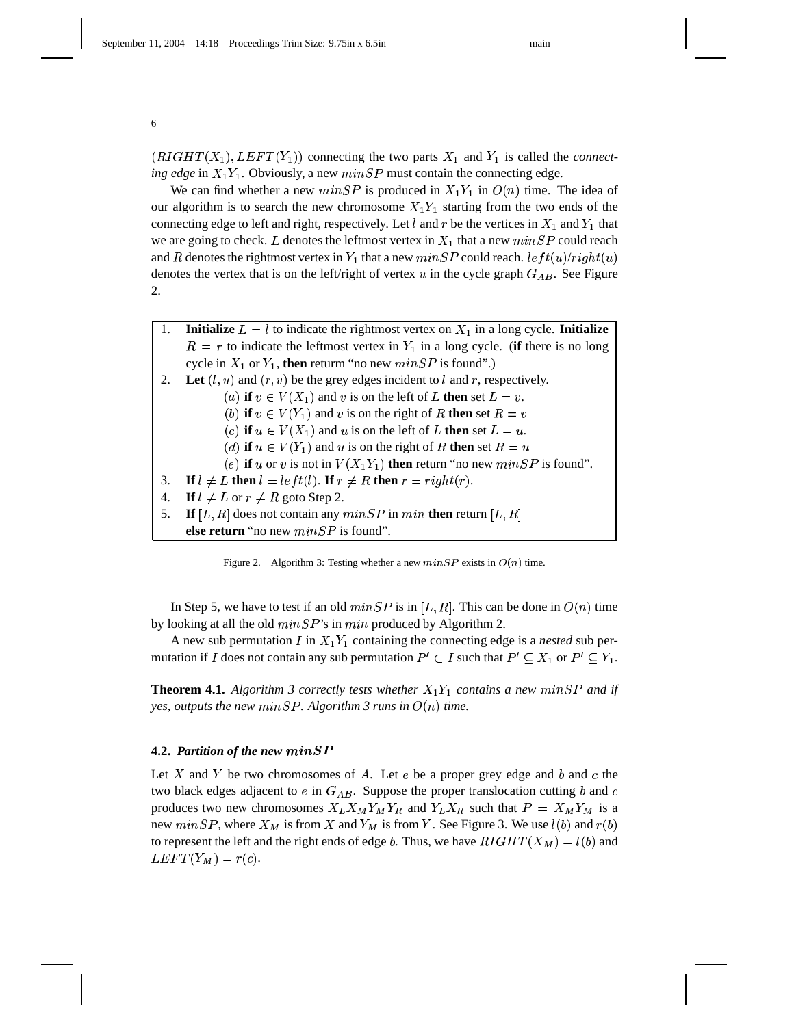$(RIGHT(X_1), LEFT(Y_1))$  connecting the two parts  $X_1$  and  $Y_1$  is called the *connecting edge* in  $X_1Y_1$ . Obviously, a new  $minSP$  must contain the connecting edge.

We can find whether a new  $minSP$  is produced in  $X_1Y_1$  in  $O(n)$  time. The idea of our algorithm is to search the new chromosome  $X_1Y_1$  starting from the two ends of the connecting edge to left and right, respectively. Let l and r be the vertices in  $X_1$  and  $Y_1$  that we are going to check. L denotes the leftmost vertex in  $X_1$  that a new  $minSP$  could reach and  $R$  denotes the rightmost vertex in  $Y_1$  that a new  $min SP$  could reach.  $left(u)/right(u)$ denotes the vertex that is on the left/right of vertex  $u$  in the cycle graph  $G_{AB}$ . See Figure 2.

1. **Initialize**  $L = l$  to indicate the rightmost vertex on  $X_1$  in a long cycle. **Initialize**  $R = r$  to indicate the leftmost vertex in  $Y_1$  in a long cycle. (**if** there is no long cycle in  $X_1$  or  $Y_1$ , then returm "no new  $minSP$  is found".) 2. Let  $(l, u)$  and  $(r, v)$  be the grey edges incident to  $l$  and  $r$ , respectively. (a) **if**  $v \in V(X_1)$  and  $v$  is on the left of  $L$  **then** set  $L = v$ . (b) if  $v \in V(Y_1)$  and v is on the right of R then set  $R = v$ (c) if  $u \in V(X_1)$  and u is on the left of L then set  $L = u$ . (*d*) **if**  $u \in V(Y_1)$  and  $u$  is on the right of  $R$  then set  $R = u$ (e) **if** u or v is not in  $V(X_1Y_1)$  **then** return "no new  $minSP$  is found". 3. **If**  $l \neq L$  then  $l = left(l)$ . **If**  $r \neq R$  then  $r = right(r)$ . 4. **If**  $l \neq L$  or  $r \neq R$  goto Step 2. 5. **If**  $[L, R]$  does not contain any  $minSP$  in  $min$  **then** return  $[L, R]$ **else return** "no new  $minSP$  is found".

Figure 2. Algorithm 3: Testing whether a new  $minSP$  exists in  $O(n)$  time.

In Step 5, we have to test if an old  $minSP$  is in  $[L, R]$ . This can be done in  $O(n)$  time by looking at all the old  $minSP$ 's in  $min$  produced by Algorithm 2.

A new sub permutation  $I$  in  $X_1Y_1$  containing the connecting edge is a *nested* sub permutation if I does not contain any sub permutation  $P' \subset I$  such that  $P' \subseteq X_1$  or  $P' \subseteq Y_1$ .

**Theorem 4.1.** Algorithm 3 correctly tests whether  $X_1Y_1$  contains a new  $minSP$  and if yes, outputs the new  $minSP.$  Algorithm 3 runs in  $O(n)$  time.

#### **4.2. Partition of the new**  $minSP$

Let X and Y be two chromosomes of A. Let e be a proper grey edge and b and c the two black edges adjacent to  $e$  in  $G_{AB}$ . Suppose the proper translocation cutting b and c produces two new chromosomes  $X_L X_M Y_M Y_R$  and  $Y_L X_R$  such that  $P = X_M Y_M$  is a new  $minSP$ , where  $X_M$  is from X and  $Y_M$  is from Y. See Figure 3. We use  $l(b)$  and  $r(b)$ to represent the left and the right ends of edge b. Thus, we have  $RIGHT(X_M) = l(b)$  and  $LEFT(Y_M) = r(c).$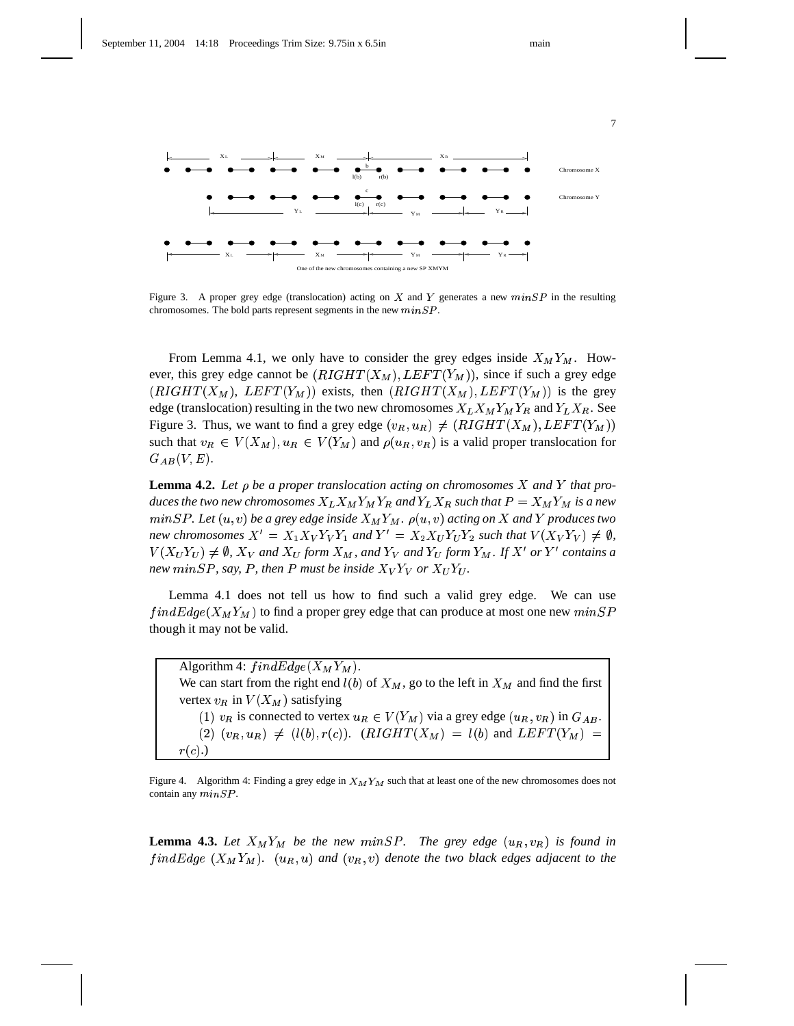

Figure 3. A proper grey edge (translocation) acting on X and Y generates a new  $minSP$  in the resulting chromosomes. The bold parts represent segments in the new  $minSP$ .

From Lemma 4.1, we only have to consider the grey edges inside  $X_M Y_M$ . However, this grey edge cannot be  $(RIGHT(X_M), LEFT(Y_M))$ , since if such a grey edge  $(RIGHT(X_M), LEFT(Y_M))$  exists, then  $(RIGHT(X_M), LEFT(Y_M))$  is the grey edge (translocation) resulting in the two new chromosomes  $X_L X_M Y_M Y_R$  and  $Y_L X_R$ . See Figure 3. Thus, we want to find a grey edge  $(v_R, u_R) \neq (RIGHT(X_M), LEFT(Y_M))$ such that  $v_R \in V(X_M)$ ,  $u_R \in V(Y_M)$  and  $\rho(u_R, v_R)$  is a valid proper translocation for  $G_{AB}(V,E).$ 

**Lemma 4.2.** Let  $\rho$  be a proper translocation acting on chromosomes  $X$  and  $Y$  that pro $duces$  the two new chromosomes  $X_L X_M Y_M Y_R$  and  $Y_L X_R$  such that  $P = X_M Y_M$  is a new  $minSP.$  Let  $(u, v)$  be a grey edge inside  $X_M Y_M.$   $\rho(u, v)$  acting on  $X$  and  $Y$  produces two *new chromosomes*  $X' = X_1 X_V Y_V Y_1$  and  $Y' = X_2 X_U Y_U Y_2$  such that  $V(X_V Y_V) \neq \emptyset$ ,  $V(X_U Y_U) \neq \emptyset$ ,  $X_V$  and  $X_U$  form  $X_M$ , and  $Y_V$  and  $Y_U$  form  $Y_M$ . If  $X'$  or  $Y'$  contains a new  $minSP$ , say, P, then P must be inside  $X_VY_V$  or  $X_UY_U$ .

Lemma 4.1 does not tell us how to find such a valid grey edge. We can use  $findEdge(X_MY_M)$  to find a proper grey edge that can produce at most one new  $minSP$ though it may not be valid.

Algorithm 4:  $findEdge(X_MY_M)$ . We can start from the right end  $l(b)$  of  $X_M$ , go to the left in  $X_M$  and find the first vertex  $v_R$  in  $V(X_M)$  satisfying (1)  $v_R$  is connected to vertex  $u_R \in V(Y_M)$  via a grey edge  $(u_R, v_R)$  in  $G_{AB}$ . .  $(2)$   $(v_R, u_R) \neq (l(b), r(c))$ .  $(RIGHT(X_M) = l(b)$  and  $LEFT(Y_M) =$  $r(c)$ .)

Figure 4. Algorithm 4: Finding a grey edge in  $X_M Y_M$  such that at least one of the new chromosomes does not contain any  $minSP$ .

**Lemma 4.3.** Let  $X_M Y_M$  be the new minSP. The grey edge  $(u_R, v_R)$  is found in  $findEdge(X_MY_M)$ .  $(u_R, u)$  and  $(v_R, v)$  denote the two black edges adjacent to the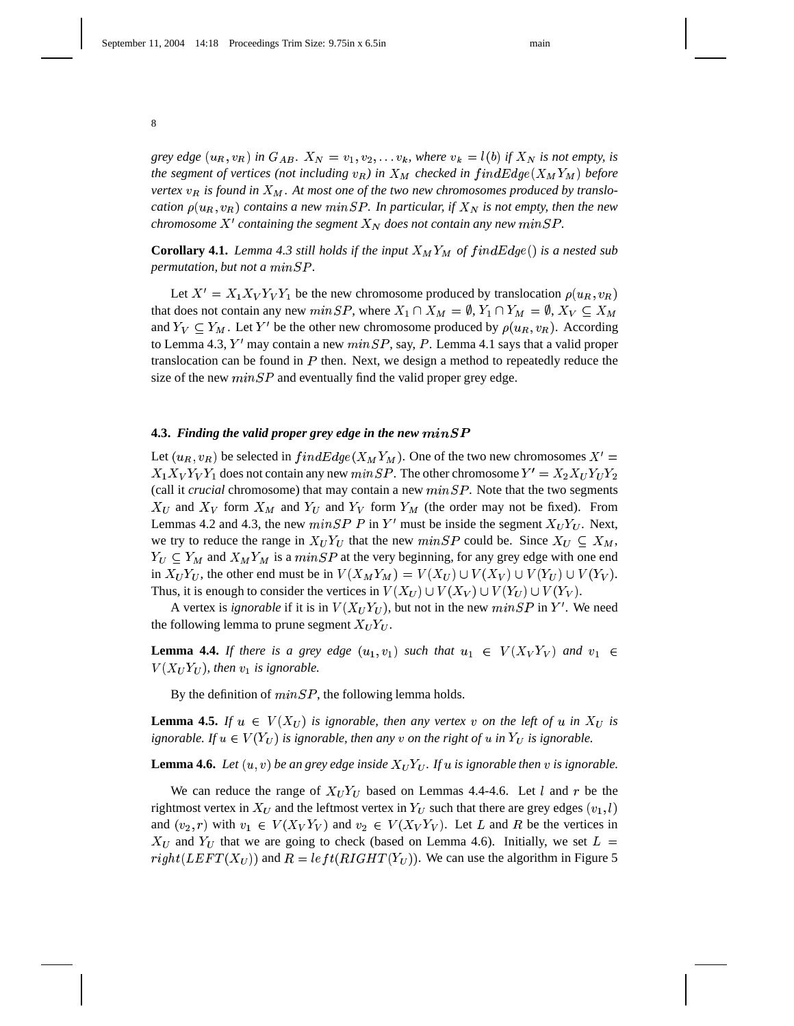grey edge  $(u_R, v_R)$  in  $G_{AB}$ .  $X_N = v_1, v_2, \ldots v_k$ , where  $v_k = l(b)$  if  $X_N$  is not empty, is the segment of vertices (not including  $v_R$ ) in  $X_M$  checked in  $findEdge(X_MY_M)$  before  $\mathbf{v}$ ertex  $\mathbf{v}_R$  is found in  $X_M$ . At most one of the two new chromosomes produced by translo- $\alpha$  *cation*  $\rho(u_R, v_R)$  contains a new  $minSP$ . In particular, if  $X_N$  is not empty, then the new *chromosome*  $X'$  containing the segment  $X_N$  does not contain any new  $min SP$ .

**Corollary 4.1.** Lemma 4.3 still holds if the input  $X_M Y_M$  of find  $Edge()$  is a nested sub  $\emph{permutation},$  but not a  $\emph{minSP}.$ 

Let  $X' = X_1 X_V Y_V Y_1$  be the new chromosome produced by translocation  $\rho(u_R, v_R)$ that does not contain any new  $minSP$ , where  $X_1 \cap X_M = \emptyset$ ,  $Y_1 \cap Y_M = \emptyset$ ,  $X_V \subseteq X_M$  $\mathbf{r}$  and  $\mathbf{r}$  and  $\mathbf{r}$ and  $Y_V \subseteq Y_M$ . Let Y' be the other new chromosome produced by  $\rho(u_R, v_R)$ . According to Lemma 4.3, Y' may contain a new  $minSP$ , say, P. Lemma 4.1 says that a valid proper translocation can be found in  $P$  then. Next, we design a method to repeatedly reduce the size of the new  $minSP$  and eventually find the valid proper grey edge.

#### **4.3. Finding the valid proper grey edge in the new**  $minSP$

Let  $(u_R, v_R)$  be selected in  $findEdge(X_M Y_M)$ . One of the two new chromosomes  $X' =$  $X_1 X_V Y_V Y_1$  does not contain any new  $min SP$ . The other chromosome  $Y' = X_2 X_U Y_U Y_2$ (call it *crucial* chromosome) that may contain a new  $minSP$ . Note that the two segments  $X_U$  and  $X_V$  form  $X_M$  and  $Y_U$  and  $Y_V$  form  $Y_M$  (the order may not be fixed). From Lemmas 4.2 and 4.3, the new  $minSP \cdot P$  in Y' must be inside the segment  $X_U Y_U$ . Next, we try to reduce the range in  $X_U Y_U$  that the new  $min SP$  could be. Since  $X_U \subseteq X_M$ ,  $Y_U \subseteq Y_M$  and  $X_M Y_M$  is a  $minSP$  at the very beginning, for any grey edge with one end in  $X_U Y_U$ , the other end must be in  $V(X_M Y_M) = V(X_U) \cup V(X_V) \cup V(Y_U) \cup V(Y_V)$ . Thus, it is enough to consider the vertices in  $V(X_U) \cup V(X_V) \cup V(Y_U) \cup V(Y_V)$ .

A vertex is *ignorable* if it is in  $V(X_U Y_U)$ , but not in the new  $min SP$  in  $Y'$ . We need the following lemma to prune segment  $X_U Y_U$ .

**Lemma 4.4.** If there is a grey edge  $(u_1, v_1)$  such that  $u_1 \in V(X_V Y_V)$  and  $v_1 \in$  $\mathbf{r}$  , we have a set of  $\mathbf{r}$  $V(X_UY_U)$ , then  $v_1$  is ignorable.

By the definition of  $minSP$ , the following lemma holds.

**Lemma 4.5.** If  $u \in V(X_U)$  is ignorable, then any vertex v on the left of u in  $X_U$  is ignorable. If  $u \in V(Y_U)$  is ignorable, then any v on the right of  $u$  in  $Y_U$  is ignorable.

**Lemma 4.6.** Let  $(u, v)$  be an grey edge inside  $X_U Y_U$ . If  $u$  is ignorable then  $v$  is ignorable.

We can reduce the range of  $X_U Y_U$  based on Lemmas 4.4-4.6. Let l and r be the rightmost vertex in  $X_U$  and the leftmost vertex in  $Y_U$  such that there are grey edges  $(v_1, l)$ and  $(v_2, r)$  with  $v_1 \in V(X_V Y_V)$  and  $v_2 \in V(X_V Y_V)$ . Let L and R be the vertices in  $X_U$  and  $Y_U$  that we are going to check (based on Lemma 4.6). Initially, we set  $L =$  $right(LEFT(X_U))$  and  $R = left(RIGHT(Y_U))$ . We can use the algorithm in Figure 5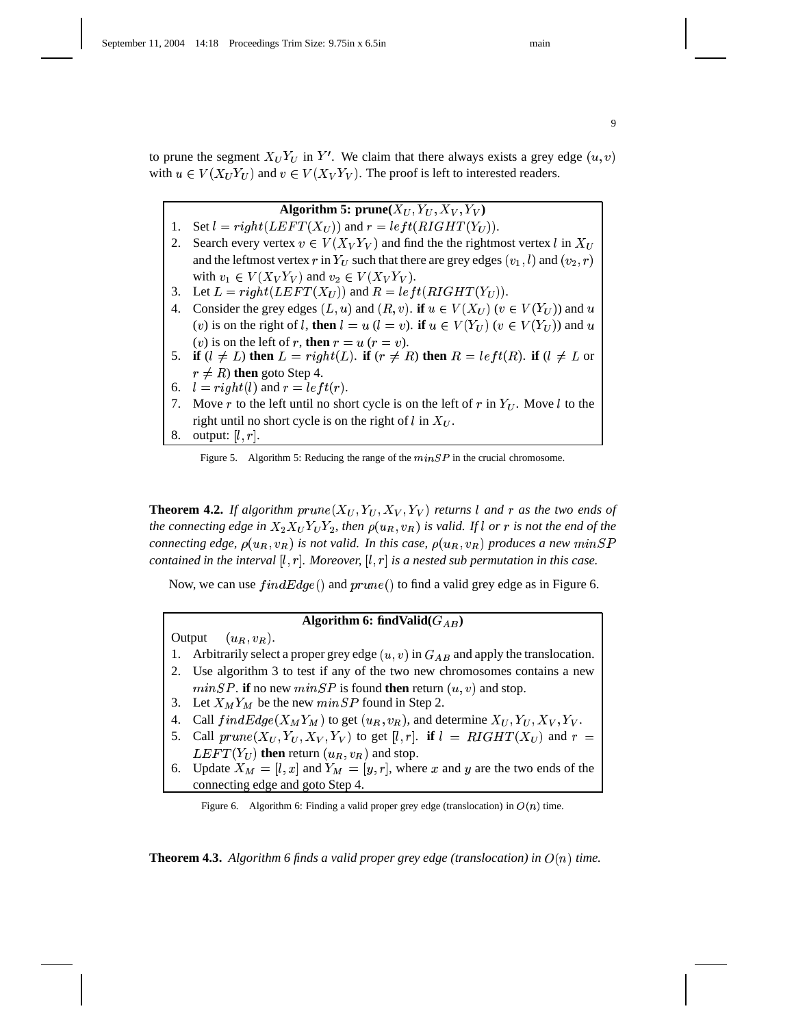9

to prune the segment  $X_U Y_U$  in  $Y'$ . We claim that there always exists a grey edge  $(u, v)$ with  $u \in V(X_U Y_U)$  and  $v \in V(X_V Y_V)$ . The proof is left to interested readers.

Algorithm 5:  $\mathbf{prune}(X_U,Y_U,X_V,Y_V)$ 1. Set  $l = right(LEFT(X_U))$  and  $r = left(RIGHT(Y_U))$ . 2. Search every vertex  $v \in V(X_V Y_V)$  and find the the rightmost vertex l in  $X_U$ and the leftmost vertex  $r$  in  $Y_U$  such that there are grey edges  $(v_1, l)$  and  $(v_2, r)$  with  $v_1 \in V(X_V Y_V)$  and  $v_2 \in V(X_V Y_V)$ . 3. Let  $L = right(LEFT(X_U))$  and  $R = left(RIGHT(Y_U))$ . 4. Consider the grey edges  $(L, u)$  and  $(R, v)$ . **if**  $u \in V(X_U)$   $(v \in V(Y_U))$  and  $u$ (v) is on the right of l, **then**  $l = u$  ( $l = v$ ). **if**  $u \in V(Y_U)$  ( $v \in V(Y_U)$ ) and  $u$ (*v*) is on the left of *r*, then  $r = u$  ( $r = v$ ). 5. **if**  $(l \neq L)$  then  $L = right(L)$ . **if**  $(r \neq R)$  then  $R = left(R)$ . **if**  $(l \neq L$  or  $r \neq R$ ) then goto Step 4. 6.  $l = right(l)$  and  $r = left(r)$ . 7. Move r to the left until no short cycle is on the left of r in  $Y_U$ . Move l to the right until no short cycle is on the right of l in  $X_U$ .

# 8. output:  $[l, r]$ .

Figure 5. Algorithm 5: Reducing the range of the  $minSP$  in the crucial chromosome.

**Theorem 4.2.** If algorithm  $prune(X_U, Y_U, X_V, Y_V)$  returns l and r as the two ends of the connecting edge in  $X_2X_UY_UY_2$ , then  $\rho(u_R,v_R)$  is valid. If l or r is not the end of the connecting edge,  $\rho(u_R,v_R)$  is not valid. In this case,  $\rho(u_R,v_R)$  produces a new  $min SP$ contained in the interval  $[l,r]$ . Moreover,  $[l,r]$  is a nested sub permutation in this case.

Now, we can use  $findEdge()$  and  $prune()$  to find a valid grey edge as in Figure 6.

#### **Algorithm 6: findValid**( $G_{AB}$ ) **)**

Output  $(u_R, v_R)$ .

- 1. Arbitrarily select a proper grey edge  $(u, v)$  in  $G_{AB}$  and apply the translocation.
- 2. Use algorithm 3 to test if any of the two new chromosomes contains a new  $minSP$ . **if** no new  $minSP$  is found **then** return  $(u, v)$  and stop.
- 3. Let  $X_M Y_M$  be the new  $min SP$  found in Step 2.
- 4. Call  $findEdge(X_MY_M)$  to get  $(u_R, v_R)$ , and determine  $X_U, Y_U, X_V, Y_V$ .
- 4. Call  $findEdge(X_MY_M)$  to get  $(u_R, v_R)$ , and determine  $X_U, Y_U, X_V, Y_V$ .<br>5. Call  $prune(X_U, Y_U, X_V, Y_V)$  to get  $[l, r]$ . **if**  $l = RIGHT(X_U)$  and  $r =$  $LEFT(Y_U)$  then return  $(u_R, v_R)$  and stop.
- 6. Update  $X_M = [l, x]$  and  $Y_M = [y, r]$ , where x and y are the two ends of the connecting edge and goto Step 4.

Figure 6. Algorithm 6: Finding a valid proper grey edge (translocation) in  $O(n)$  time.

**Theorem 4.3.** Algorithm 6 finds a valid proper grey edge (translocation) in  $O(n)$  time.